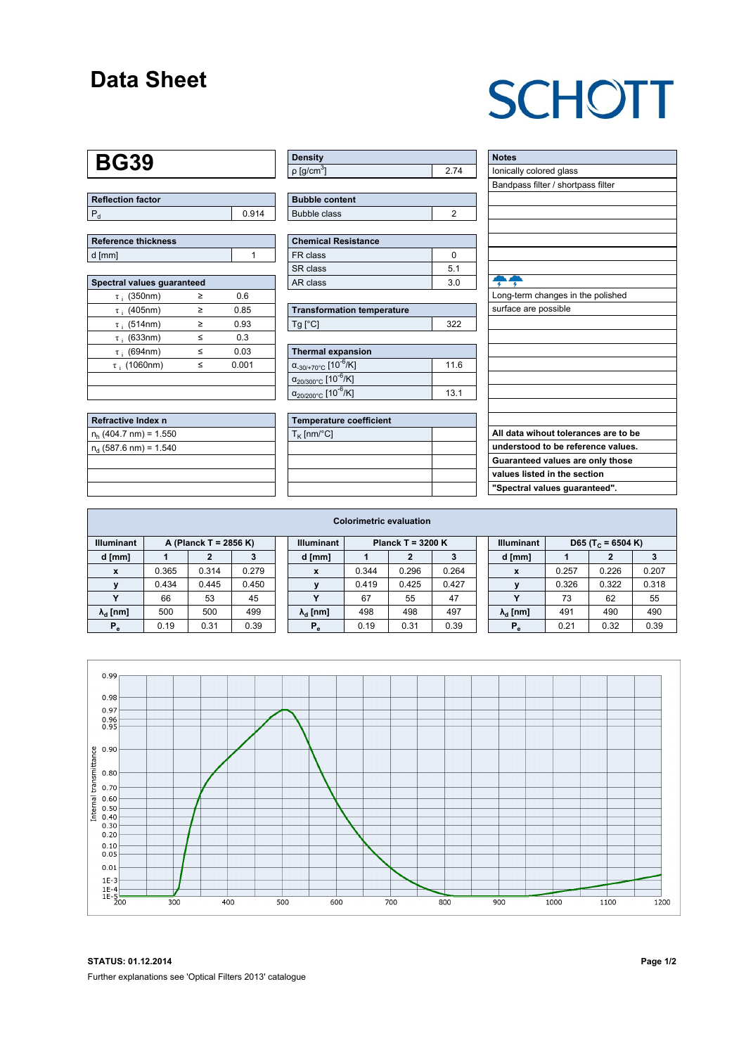#### **Data Sheet**

# **SCHOTT**

### **BG39**

| Reflection factor |       |
|-------------------|-------|
|                   | ባ 914 |

| Reference thickness |  |
|---------------------|--|
| d [mm]              |  |

| Spectral values quaranteed |   |       |  |  |  |  |  |  |  |
|----------------------------|---|-------|--|--|--|--|--|--|--|
| $\tau$ ; (350nm)           | > | 0.6   |  |  |  |  |  |  |  |
| $\tau$ ; (405nm)           | ≥ | 0.85  |  |  |  |  |  |  |  |
| $\tau$ ; (514nm)           | ≥ | 0.93  |  |  |  |  |  |  |  |
| $\tau$ ; (633nm)           | ≤ | 0.3   |  |  |  |  |  |  |  |
| $\tau$ (694nm)             | < | 0.03  |  |  |  |  |  |  |  |
| $\tau$ ; (1060nm)          | < | 0.001 |  |  |  |  |  |  |  |
|                            |   |       |  |  |  |  |  |  |  |
|                            |   |       |  |  |  |  |  |  |  |

| Refractive Index n       |  |
|--------------------------|--|
| $n_h$ (404.7 nm) = 1.550 |  |
| $n_a$ (587.6 nm) = 1.540 |  |
|                          |  |
|                          |  |
|                          |  |

| <b>Density</b>           |  |
|--------------------------|--|
| $p$ [g/cm <sup>3</sup> ] |  |

| <b>Bubble content</b> |  |
|-----------------------|--|
| Bubble class          |  |

| <b>Chemical Resistance</b> |     |  |  |  |  |  |
|----------------------------|-----|--|--|--|--|--|
| FR class                   |     |  |  |  |  |  |
| SR class                   | 51  |  |  |  |  |  |
| AR class                   | 3 O |  |  |  |  |  |

| <b>Transformation temperature</b> |     |
|-----------------------------------|-----|
| Ta [°C]                           | つつつ |

| Thermal expansion                                 |      |  |  |  |  |  |  |
|---------------------------------------------------|------|--|--|--|--|--|--|
| $\alpha_{-30/+70\degree}$ c [10 <sup>-6</sup> /K] | 11.6 |  |  |  |  |  |  |
| $\alpha_{20/300^{\circ}C}$ [10 <sup>-6</sup> /K]  |      |  |  |  |  |  |  |
| $\alpha_{20/200^{\circ}C}$ [10 $\overline{6}$ /K] | 13.1 |  |  |  |  |  |  |

| <b>Temperature coefficient</b> |  |
|--------------------------------|--|
| $T_K$ [nm/°C]                  |  |
|                                |  |
|                                |  |
|                                |  |
|                                |  |

| <b>Notes</b>                         |
|--------------------------------------|
| lonically colored glass              |
| Bandpass filter / shortpass filter   |
|                                      |
|                                      |
|                                      |
|                                      |
|                                      |
|                                      |
|                                      |
| Long-term changes in the polished    |
| surface are possible                 |
|                                      |
|                                      |
|                                      |
|                                      |
|                                      |
|                                      |
|                                      |
|                                      |
| All data wihout tolerances are to be |
| understood to be reference values.   |
| Guaranteed values are only those     |
| values listed in the section         |
| "Spectral values guaranteed".        |
|                                      |

| <b>Colorimetric evaluation</b>             |       |       |       |                                          |                        |       |       |       |                   |                               |       |       |       |
|--------------------------------------------|-------|-------|-------|------------------------------------------|------------------------|-------|-------|-------|-------------------|-------------------------------|-------|-------|-------|
| <b>Illuminant</b><br>A (Planck T = 2856 K) |       |       |       | Planck T = $3200 K$<br><b>Illuminant</b> |                        |       |       |       | <b>Illuminant</b> | D65 (T <sub>c</sub> = 6504 K) |       |       |       |
| d [mm]                                     |       |       |       |                                          | d [mm]                 |       |       |       |                   | d [mm]                        |       | 2     |       |
| x                                          | 0.365 | 0.314 | 0.279 |                                          | X                      | 0.344 | 0.296 | 0.264 |                   | X                             | 0.257 | 0.226 | 0.207 |
|                                            | 0.434 | 0.445 | 0.450 |                                          |                        | 0.419 | 0.425 | 0.427 |                   |                               | 0.326 | 0.322 | 0.318 |
|                                            | 66    | 53    | 45    |                                          |                        | 67    | 55    | 47    |                   |                               | 73    | 62    | 55    |
| $\lambda_{\rm d}$ [nm]                     | 500   | 500   | 499   |                                          | $\lambda_{\rm d}$ [nm] | 498   | 498   | 497   |                   | $\lambda_{\rm d}$ [nm]        | 491   | 490   | 490   |
| $P_e$                                      | 0.19  | 0.31  | 0.39  |                                          | $P_e$                  | 0.19  | 0.31  | 0.39  |                   | $P_e$                         | 0.21  | 0.32  | 0.39  |
|                                            |       |       |       |                                          |                        |       |       |       |                   |                               |       |       |       |



**STATUS: 01.12.2014 Page 1/2** Further explanations see 'Optical Filters 2013' catalogue